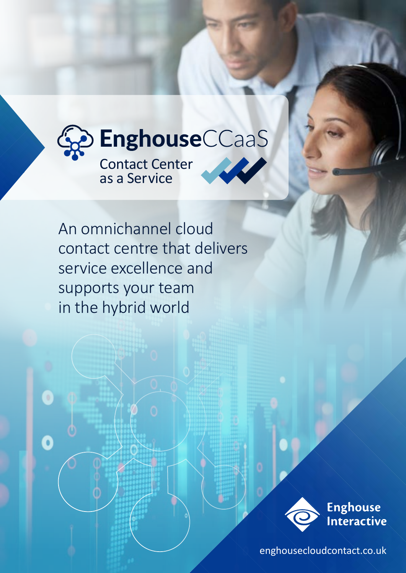

An omnichannel cloud contact centre that delivers service excellence and supports your team in the hybrid world

 $\bullet$ 



 [enghousecloudcontact.co.uk](http://enghousecloudcontact.co.uk)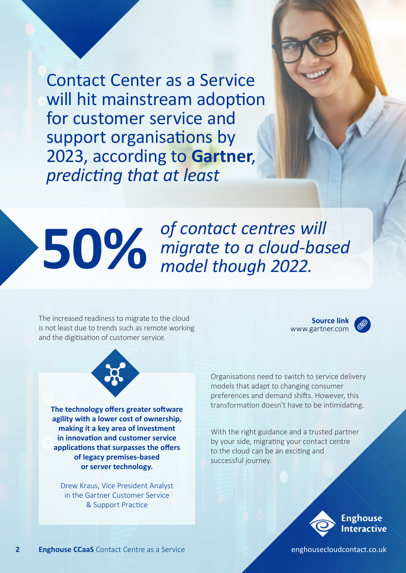Contact Center as a Service will hit mainstream adoption for customer service and support organisations by 2023, according to **Gartner**, *predicting that at least*

### **50%** of contact centres will<br>migrate to a cloud-based model though 2022. *migrate to a cloud-based model though 2022.*

The increased readiness to migrate to the cloud is not least due to trends such as remote working and the digitisation of customer service.

**Source link** www.gartner.com





**The technology offers greater software agility with a lower cost of ownership, making it a key area of investment in innovation and customer service applications that surpasses the offers of legacy premises-based or server technology.** 

Drew Kraus, Vice President Analyst in the Gartner Customer Service & Support Practice

Organisations need to switch to service delivery models that adapt to changing consumer preferences and demand shifts. However, this transformation doesn't have to be intimidating.

With the right guidance and a trusted partner by your side, migrating your contact centre to the cloud can be an exciting and successful journey.

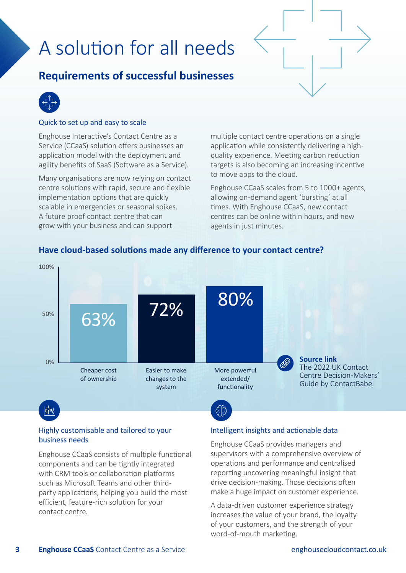# A solution for all needs

### **Requirements of successful businesses**



#### Quick to set up and easy to scale

Enghouse Interactive's Contact Centre as a Service (CCaaS) solution offers businesses an application model with the deployment and agility benefits of SaaS (Software as a Service).

Many organisations are now relying on contact centre solutions with rapid, secure and flexible implementation options that are quickly scalable in emergencies or seasonal spikes. A future proof contact centre that can grow with your business and can support

multiple contact centre operations on a single application while consistently delivering a highquality experience. Meeting carbon reduction targets is also becoming an increasing incentive to move apps to the cloud.

Enghouse CCaaS scales from 5 to 1000+ agents, allowing on-demand agent 'bursting' at all times. With Enghouse CCaaS, new contact centres can be online within hours, and new agents in just minutes.



#### **Have cloud-based solutions made any difference to your contact centre?**

#### Highly customisable and tailored to your business needs

Enghouse CCaaS consists of multiple functional components and can be tightly integrated with CRM tools or collaboration platforms such as Microsoft Teams and other thirdparty applications, helping you build the most efficient, feature-rich solution for your contact centre.

#### Intelligent insights and actionable data

Enghouse CCaaS provides managers and supervisors with a comprehensive overview of operations and performance and centralised reporting uncovering meaningful insight that drive decision-making. Those decisions often make a huge impact on customer experience.

A data-driven customer experience strategy increases the value of your brand, the loyalty of your customers, and the strength of your word-of-mouth marketing.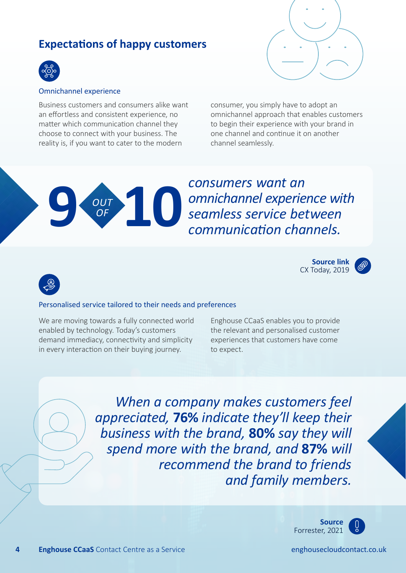### **Expectations of happy customers**



#### Omnichannel experience

Business customers and consumers alike want an effortless and consistent experience, no matter which communication channel they choose to connect with your business. The reality is, if you want to cater to the modern

> *OUT OF*

consumer, you simply have to adopt an omnichannel approach that enables customers to begin their experience with your brand in one channel and continue it on another channel seamlessly.

**9 10***consumers want an omnichannel experience with seamless service between communication channels.*

> **Source link** [CX Today, 2019](https://www.cxtoday.com/contact-centre/delivering-an-excellent-omni-channel-experience/)



#### Personalised service tailored to their needs and preferences

We are moving towards a fully connected world enabled by technology. Today's customers demand immediacy, connectivity and simplicity in every interaction on their buying journey.

Enghouse CCaaS enables you to provide the relevant and personalised customer experiences that customers have come to expect.

*When a company makes customers feel appreciated,* **76%** *indicate they'll keep their business with the brand,* **80%** *say they will spend more with the brand, and* **87%** *will recommend the brand to friends and family members.* 





**4 Enghouse CCaaS** Contact Centre as a Service **englouse enghousecloudcontact.co.uk**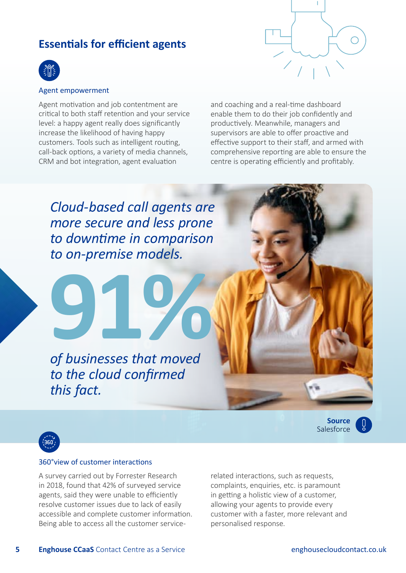#### **Essentials for efficient agents**



#### Agent empowerment

Agent motivation and job contentment are critical to both staff retention and your service level: a happy agent really does significantly increase the likelihood of having happy customers. Tools such as intelligent routing, call-back options, a variety of media channels, CRM and bot integration, agent evaluation

and coaching and a real-time dashboard enable them to do their job confidently and productively. Meanwhile, managers and supervisors are able to offer proactive and effective support to their staff, and armed with comprehensive reporting are able to ensure the centre is operating efficiently and profitably.

*Cloud-based call agents are more secure and less prone to downtime in comparison to on-premise models.* 

**91%** *of businesses that moved to the cloud confirmed this fact.*

> **Source Salesforce**



#### 360°view of customer interactions

A survey carried out by Forrester Research in 2018, found that 42% of surveyed service agents, said they were unable to efficiently resolve customer issues due to lack of easily accessible and complete customer information. Being able to access all the customer servicerelated interactions, such as requests, complaints, enquiries, etc. is paramount in getting a holistic view of a customer, allowing your agents to provide every customer with a faster, more relevant and personalised response.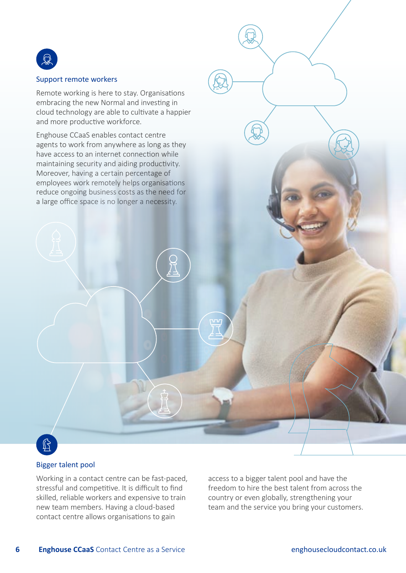

#### Support remote workers

Remote working is here to stay. Organisations embracing the new Normal and investing in cloud technology are able to cultivate a happier and more productive workforce.

Enghouse CCaaS enables contact centre agents to work from anywhere as long as they have access to an internet connection while maintaining security and aiding productivity. Moreover, having a certain percentage of employees work remotely helps organisations reduce ongoing business costs as the need for a large office space is no longer a necessity.

### $\mathbb{G}$

#### Bigger talent pool

Working in a contact centre can be fast-paced, stressful and competitive. It is difficult to find skilled, reliable workers and expensive to train new team members. Having a cloud-based contact centre allows organisations to gain

access to a bigger talent pool and have the freedom to hire the best talent from across the country or even globally, strengthening your team and the service you bring your customers.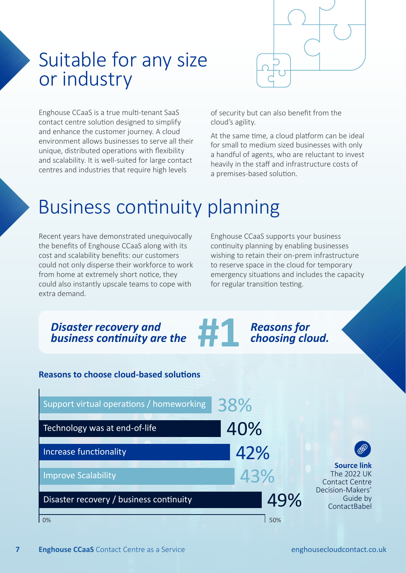

### Suitable for any size or industry

Enghouse CCaaS is a true multi-tenant SaaS contact centre solution designed to simplify and enhance the customer journey. A cloud environment allows businesses to serve all their unique, distributed operations with flexibility and scalability. It is well-suited for large contact centres and industries that require high levels

of security but can also benefit from the cloud's agility.

At the same time, a cloud platform can be ideal for small to medium sized businesses with only a handful of agents, who are reluctant to invest heavily in the staff and infrastructure costs of a premises-based solution.

## Business continuity planning

Recent years have demonstrated unequivocally the benefits of Enghouse CCaaS along with its cost and scalability benefits: our customers could not only disperse their workforce to work from home at extremely short notice, they could also instantly upscale teams to cope with extra demand.

Enghouse CCaaS supports your business continuity planning by enabling businesses wishing to retain their on-prem infrastructure to reserve space in the cloud for temporary emergency situations and includes the capacity for regular transition testing.

**#1 | Reasons for <br>#1** *choosing cloud.* 

#### *Disaster recovery and business continuity are the*

#### **Reasons to choose cloud-based solutions**

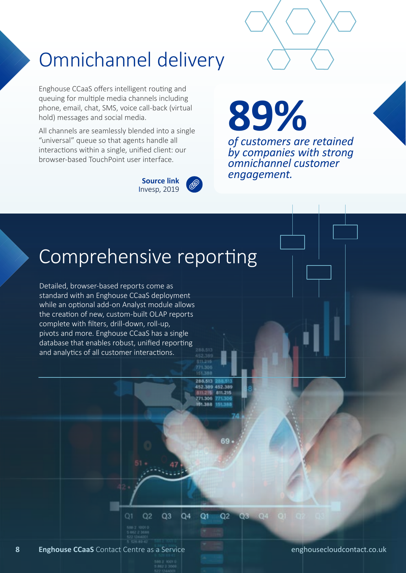# Omnichannel delivery

Enghouse CCaaS offers intelligent routing and queuing for multiple media channels including phone, email, chat, SMS, voice call-back (virtual hold) messages and social media.

All channels are seamlessly blended into a single "universal" queue so that agents handle all interactions within a single, unified client: our browser-based TouchPoint user interface.



**89%**  *of customers are retained by companies with strong omnichannel customer engagement.* **Source link**

### Comprehensive reporting

Detailed, browser-based reports come as standard with an Enghouse CCaaS deployment while an optional add-on Analyst module allows the creation of new, custom-built OLAP reports complete with filters, drill-down, roll-up, pivots and more. Enghouse CCaaS has a single database that enables robust, unified reporting and analytics of all customer interactions.

> 288.513 452.389 452.389 811.215 771.306 61,388

Q<sub>3</sub>  $Q4$ Q1  $O<sub>2</sub>$  $Q2$  $Q3$  $Q4$ 

 $Q1$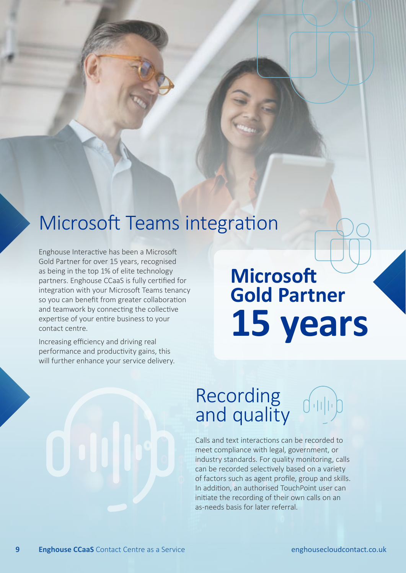### Microsoft Teams integration

Enghouse Interactive has been a Microsoft Gold Partner for over 15 years, recognised as being in the top 1% of elite technology partners. Enghouse CCaaS is fully certified for integration with your Microsoft Teams tenancy so you can benefit from greater collaboration and teamwork by connecting the collective expertise of your entire business to your contact centre.

Increasing efficiency and driving real performance and productivity gains, this will further enhance your service delivery.

# **Microsoft Gold Partner 15 years**

### Recording and quality



Calls and text interactions can be recorded to meet compliance with legal, government, or industry standards. For quality monitoring, calls can be recorded selectively based on a variety of factors such as agent profile, group and skills. In addition, an authorised TouchPoint user can initiate the recording of their own calls on an as-needs basis for later referral.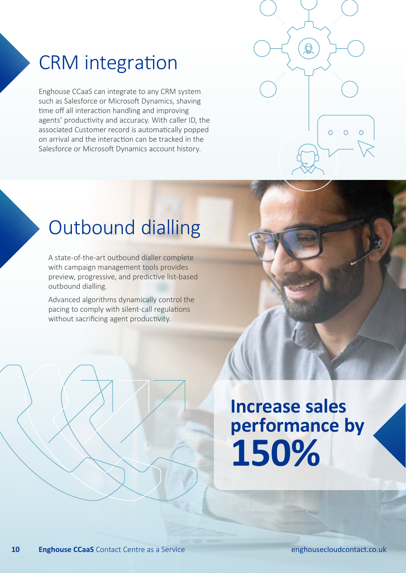### CRM integration

Enghouse CCaaS can integrate to any CRM system such as Salesforce or Microsoft Dynamics, shaving time off all interaction handling and improving agents' productivity and accuracy. With caller ID, the associated Customer record is automatically popped on arrival and the interaction can be tracked in the Salesforce or Microsoft Dynamics account history.



### Outbound dialling

A state-of-the-art outbound dialler complete with campaign management tools provides preview, progressive, and predictive list-based outbound dialling.

Advanced algorithms dynamically control the pacing to comply with silent-call regulations without sacrificing agent productivity.

# **Increase sales performance by 150%**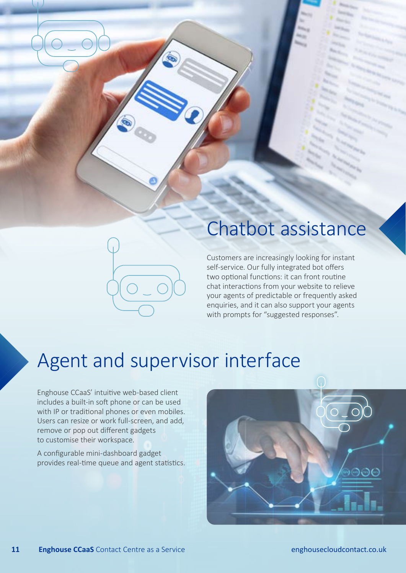### Chatbot assistance

Customers are increasingly looking for instant self-service. Our fully integrated bot offers two optional functions: it can front routine chat interactions from your website to relieve your agents of predictable or frequently asked enquiries, and it can also support your agents with prompts for "suggested responses".

### Agent and supervisor interface

Enghouse CCaaS' intuitive web-based client includes a built-in soft phone or can be used with IP or traditional phones or even mobiles. Users can resize or work full-screen, and add, remove or pop out different gadgets to customise their workspace.

A configurable mini-dashboard gadget provides real-time queue and agent statistics.

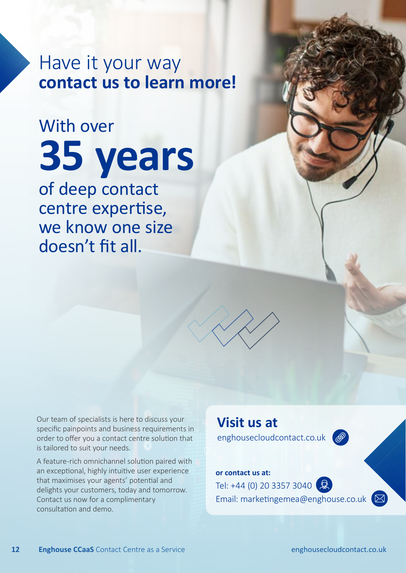Have it your way **contact us to learn more!**

# With over **35 years** of deep contact centre expertise,

we know one size doesn't fit all.

Our team of specialists is here to discuss your specific painpoints and business requirements in order to offer you a contact centre solution that is tailored to suit your needs.

A feature-rich omnichannel solution paired with an exceptional, highly intuitive user experience that maximises your agents' potential and delights your customers, today and tomorrow. Contact us now for a complimentary consultation and demo.

**Visit us at** enghousecloudcontact.co.uk

#### **or contact us at:**

Tel: +44 (0) 20 3357 3040  $\left( \mathbb{Q} \right)$ Email: marketingemea@enghouse.co.uk